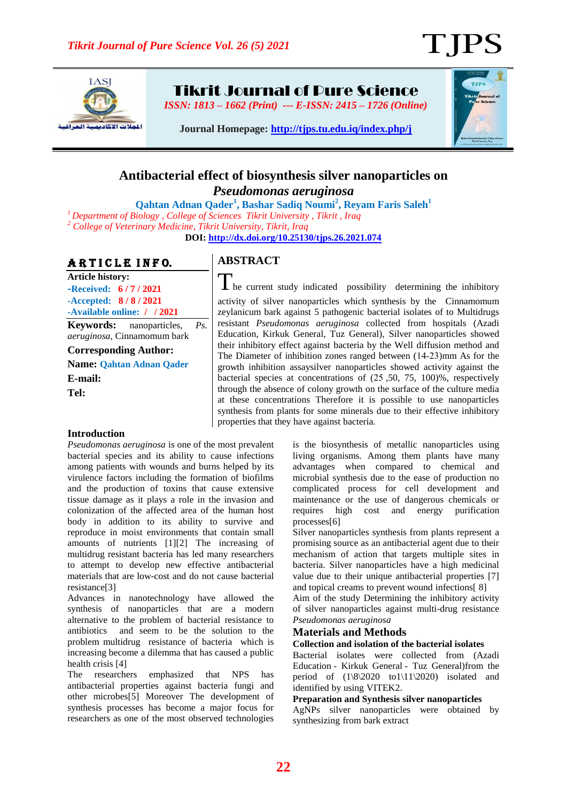T IPS



Tikrit Journal of Pure Science

*ISSN: 1813 – 1662 (Print) --- E-ISSN: 2415 – 1726 (Online)*



**Journal Homepage:<http://tjps.tu.edu.iq/index.php/j>**

## **Antibacterial effect of biosynthesis silver nanoparticles on** *Pseudomonas aeruginosa*

**Qahtan Adnan Qader<sup>1</sup> , Bashar Sadiq Noumi<sup>2</sup> , Reyam Faris Saleh<sup>1</sup>**

*<sup>1</sup>Department of Biology , College of Sciences Tikrit University , Tikrit , Iraq*

*<sup>2</sup> College of Veterinary Medicine, Tikrit University, Tikrit, Iraq* 

**DOI:<http://dx.doi.org/10.25130/tjps.26.2021.074>**

# ARTICLE INFO.

**Article history: -Received: 6 / 7 / 2021 -Accepted: 8 / 8 / 2021 -Available online: / / 2021 Keywords:** nanoparticles, *Ps.* 

*aeruginosa,* Cinnamomum bark

**Corresponding Author:**

**Name: Qahtan Adnan Qader E-mail:** 

**Tel:**

## **Introduction**

*Pseudomonas aeruginosa* is one of the most prevalent bacterial species and its ability to cause infections among patients with wounds and burns helped by its virulence factors including the formation of biofilms and the production of toxins that cause extensive tissue damage as it plays a role in the invasion and colonization of the affected area of the human host body in addition to its ability to survive and reproduce in moist environments that contain small amounts of nutrients [1][2] The increasing of multidrug resistant bacteria has led many researchers to attempt to develop new effective antibacterial materials that are low-cost and do not cause bacterial resistance[3]

Advances in nanotechnology have allowed the synthesis of nanoparticles that are a modern alternative to the problem of bacterial resistance to antibiotics and seem to be the solution to the problem multidrug resistance of bacteria which is increasing become a dilemma that has caused a public health crisis [4]

The researchers emphasized that NPS has antibacterial properties against bacteria fungi and other microbes[5] Moreover The development of synthesis processes has become a major focus for researchers as one of the most observed technologies

# **ABSTRACT**

**I** he current study indicated possibility determining the inhibitory activity of silver nanoparticles which synthesis by the Cinnamomum zeylanicum bark against 5 pathogenic bacterial isolates of to Multidrugs resistant *Pseudomonas aeruginosa* collected from hospitals (Azadi Education, Kirkuk General, Tuz General), Silver nanoparticles showed their inhibitory effect against bacteria by the Well diffusion method and The Diameter of inhibition zones ranged between  $(14-23)$ mm As for the growth inhibition assaysilver nanoparticles showed activity against the bacterial species at concentrations of (32 ,50, 75, 100)%, respectively through the absence of colony growth on the surface of the culture media at these concentrations Therefore it is possible to use nanoparticles synthesis from plants for some minerals due to their effective inhibitory properties that they have against bacteria.

> is the biosynthesis of metallic nanoparticles using living organisms. Among them plants have many advantages when compared to chemical and microbial synthesis due to the ease of production no complicated process for cell development and maintenance or the use of dangerous chemicals or requires high cost and energy purification processes[6]

> Silver nanoparticles synthesis from plants represent a promising source as an antibacterial agent due to their mechanism of action that targets multiple sites in bacteria. Silver nanoparticles have a high medicinal value due to their unique antibacterial properties [7] and topical creams to prevent wound infections[ 8]

> Aim of the study Determining the inhibitory activity of silver nanoparticles against multi-drug resistance *Pseudomonas aeruginosa*

### **Materials and Methods**

#### **Collection and isolation of the bacterial isolates**

Bacterial isolates were collected from (Azadi Education - Kirkuk General - Tuz General)from the period of  $(1\sqrt{8}\cdot2020 \text{ to } 1\sqrt{11}\cdot2020)$  isolated and identified by using VITEK2.

#### **Preparation and Synthesis silver nanoparticles**

AgNPs silver nanoparticles were obtained by synthesizing from bark extract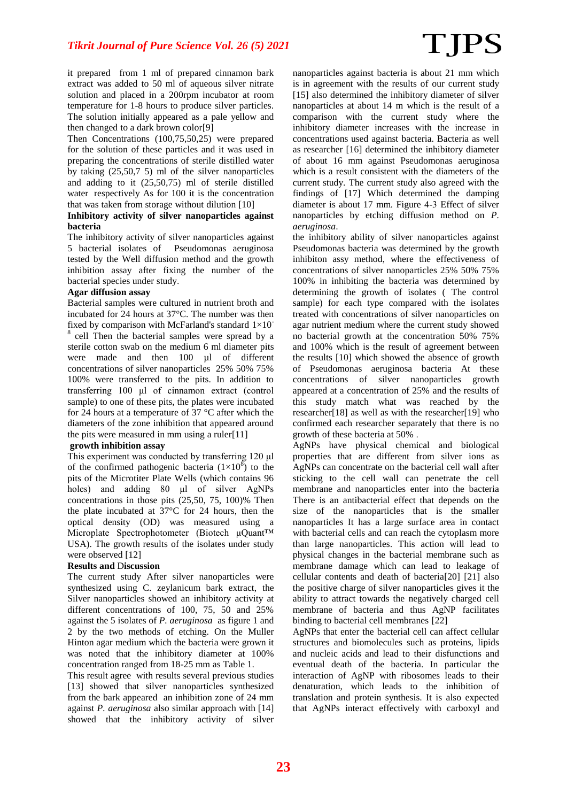it prepared from 1 ml of prepared cinnamon bark extract was added to 50 ml of aqueous silver nitrate solution and placed in a 200rpm incubator at room temperature for 1-8 hours to produce silver particles. The solution initially appeared as a pale yellow and then changed to a dark brown color[9]

Then Concentrations (100,75,50,25) were prepared for the solution of these particles and it was used in preparing the concentrations of sterile distilled water by taking (25,50,7 5) ml of the silver nanoparticles and adding to it (25,50,75) ml of sterile distilled water respectively As for 100 it is the concentration that was taken from storage without dilution [10]

#### **Inhibitory activity of silver nanoparticles against bacteria**

The inhibitory activity of silver nanoparticles against 5 bacterial isolates of Pseudomonas aeruginosa tested by the Well diffusion method and the growth inhibition assay after fixing the number of the bacterial species under study.

#### **Agar diffusion assay**

Bacterial samples were cultured in nutrient broth and incubated for 24 hours at 37°C. The number was then fixed by comparison with McFarland's standard  $1\times10^{-1}$ 8 cell Then the bacterial samples were spread by a sterile cotton swab on the medium 6 ml diameter pits were made and then 100 µl of different concentrations of silver nanoparticles 25% 50% 75% 100% were transferred to the pits. In addition to transferring 100 μl of cinnamon extract (control sample) to one of these pits, the plates were incubated for 24 hours at a temperature of 37 °C after which the diameters of the zone inhibition that appeared around the pits were measured in mm using a ruler[11]

#### **growth inhibition assay**

This experiment was conducted by transferring 120 μl of the confirmed pathogenic bacteria  $(1\times10^8)$  to the pits of the Microtiter Plate Wells (which contains 96 holes) and adding 80 μl of silver AgNPs concentrations in those pits (25,50, 75, 100)% Then the plate incubated at 37°C for 24 hours, then the optical density (OD) was measured using a Microplate Spectrophotometer (Biotech μQuant™ USA). The growth results of the isolates under study were observed [12]

#### **Results and** D**iscussion**

The current study After silver nanoparticles were synthesized using C. zeylanicum bark extract, the Silver nanoparticles showed an inhibitory activity at different concentrations of 100, 75, 50 and 25% against the 5 isolates of *P. aeruginosa* as figure 1 and 2 by the two methods of etching. On the Muller Hinton agar medium which the bacteria were grown it was noted that the inhibitory diameter at 100% concentration ranged from 18-25 mm as Table 1.

This result agree with results several previous studies [13] showed that silver nanoparticles synthesized from the bark appeared an inhibition zone of 24 mm against *P. aeruginosa* also similar approach with [14] showed that the inhibitory activity of silver

nanoparticles against bacteria is about 21 mm which is in agreement with the results of our current study [15] also determined the inhibitory diameter of silver nanoparticles at about 14 m which is the result of a comparison with the current study where the inhibitory diameter increases with the increase in concentrations used against bacteria. Bacteria as well as researcher [16] determined the inhibitory diameter of about 16 mm against Pseudomonas aeruginosa which is a result consistent with the diameters of the current study. The current study also agreed with the findings of [17] Which determined the damping diameter is about 17 mm. Figure 4-2 Effect of silver nanoparticles by etching diffusion method on *P. aeruginosa*.

the inhibitory ability of silver nanoparticles against Pseudomonas bacteria was determined by the growth inhibiton assy method, where the effectiveness of concentrations of silver nanoparticles 25% 50% 75% 100% in inhibiting the bacteria was determined by determining the growth of isolates ( The control sample) for each type compared with the isolates treated with concentrations of silver nanoparticles on agar nutrient medium where the current study showed no bacterial growth at the concentration 50% 75% and 100% which is the result of agreement between the results [10] which showed the absence of growth of Pseudomonas aeruginosa bacteria At these concentrations of silver nanoparticles growth appeared at a concentration of 25% and the results of this study match what was reached by the researcher[18] as well as with the researcher[19] who confirmed each researcher separately that there is no growth of these bacteria at 50% .

AgNPs have physical chemical and biological properties that are different from silver ions as AgNPs can concentrate on the bacterial cell wall after sticking to the cell wall can penetrate the cell membrane and nanoparticles enter into the bacteria There is an antibacterial effect that depends on the size of the nanoparticles that is the smaller nanoparticles It has a large surface area in contact with bacterial cells and can reach the cytoplasm more than large nanoparticles. This action will lead to physical changes in the bacterial membrane such as membrane damage which can lead to leakage of cellular contents and death of bacteria[20] [21] also the positive charge of silver nanoparticles gives it the ability to attract towards the negatively charged cell membrane of bacteria and thus AgNP facilitates binding to bacterial cell membranes [22]

AgNPs that enter the bacterial cell can affect cellular structures and biomolecules such as proteins, lipids and nucleic acids and lead to their disfunctions and eventual death of the bacteria. In particular the interaction of AgNP with ribosomes leads to their denaturation, which leads to the inhibition of translation and protein synthesis. It is also expected that AgNPs interact effectively with carboxyl and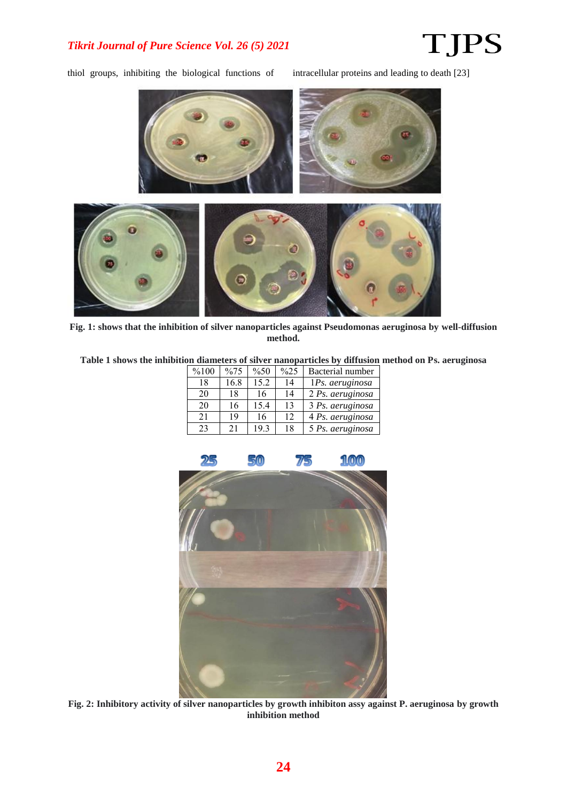## *Tikrit Journal of Pure Science Vol. 26 (5) 2021*

# **TJPS**

thiol groups, inhibiting the biological functions of intracellular proteins and leading to death [23]



**Fig. 1: shows that the inhibition of silver nanoparticles against Pseudomonas aeruginosa by well-diffusion method.**

**Table 1 shows the inhibition diameters of silver nanoparticles by diffusion method on Ps. aeruginosa**

| %100 | $\frac{9}{6}$ 75 | $\%50$ | $\frac{625}{2}$ | Bacterial number |
|------|------------------|--------|-----------------|------------------|
| 18   | 16.8             | 15.2   | 14              | 1Ps. aeruginosa  |
| 20   | 18               | 16     | 14              | 2 Ps. aeruginosa |
| 20   | 16               | 15.4   | 13              | 3 Ps. aeruginosa |
| 21   | 19               | 16     | 12              | 4 Ps. aeruginosa |
| 23   | 21               | 19.3   | 18              | 5 Ps. aeruginosa |



**Fig. 2: Inhibitory activity of silver nanoparticles by growth inhibiton assy against P. aeruginosa by growth inhibition method**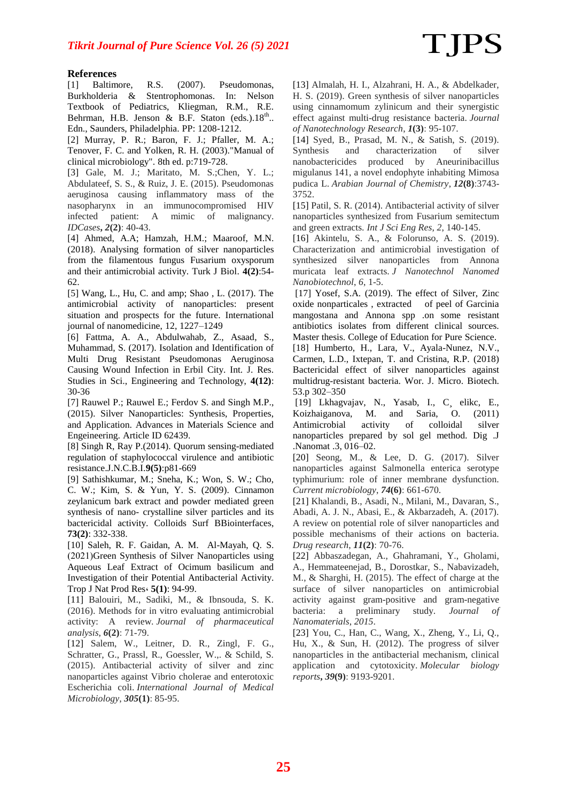#### **References**

[1] Baltimore, R.S. (2007). Pseudomonas, Burkholderia & Stentrophomonas. In: Nelson Textbook of Pediatrics, Kliegman, R.M., R.E. Behrman, H.B. Jenson & B.F. Staton (eds.). $18^{th}$ .. Edn., Saunders, Philadelphia. PP: 1208-1212.

[2] Murray, P. R.; Baron, F. J.; Pfaller, M. A.; Tenover, F. C. and Yolken, R. H. (2003)."Manual of clinical microbiology". 8th ed. p:719-728.

[3] Gale, M. J.; Maritato, M. S.;Chen, Y. L.; Abdulateef, S. S., & Ruiz, J. E. (2015). Pseudomonas aeruginosa causing inflammatory mass of the nasopharynx in an immunocompromised HIV infected patient: A mimic of malignancy. *IDCases***,** *2***(2)**7 40-43.

[4] Ahmed, A.A; Hamzah, H.M.; Maaroof, M.N. (2018). Analysing formation of silver nanoparticles from the filamentous fungus Fusarium oxysporum and their antimicrobial activity. Turk J Biol. **4(2)**:54- 62.

[5] Wang, L., Hu, C. and amp; Shao , L. (2017). The antimicrobial activity of nanoparticles: present situation and prospects for the future. International journal of nanomedicine, 12, 1227–1249

[6] Fattma, A. A., Abdulwahab, Z., Asaad, S., Muhammad, S. (2017). Isolation and Identification of Multi Drug Resistant Pseudomonas Aeruginosa Causing Wound Infection in Erbil City. Int. J. Res. Studies in Sci., Engineering and Technology, **4(12)**: 30-36

[7] Rauwel P.; Rauwel E.; Ferdov S. and Singh M.P., (2015). Silver Nanoparticles: Synthesis, Properties, and Application. Advances in Materials Science and Engeineering. Article ID 62439.

[8] Singh R, Ray P.(2014). Quorum sensing-mediated regulation of staphylococcal virulence and antibiotic resistance.J.N.C.B.I.**9(5)**:p81-669

[9] Sathishkumar, M.; Sneha, K.; Won, S. W.; Cho, C. W.; Kim, S. & Yun, Y. S. (2009). Cinnamon zeylanicum bark extract and powder mediated green synthesis of nano- crystalline silver particles and its bactericidal activity. Colloids Surf BBiointerfaces, **73(2)**: 332-338.

[10] Saleh, R. F. Gaidan, A. M. Al-Mayah, Q. S. (2021)Green Synthesis of Silver Nanoparticles using Aqueous Leaf Extract of Ocimum basilicum and Investigation of their Potential Antibacterial Activity. Trop J Nat Prod Res, **5(1)**: 94-99.

[11] Balouiri, M., Sadiki, M., & Ibnsouda, S. K. (2016). Methods for in vitro evaluating antimicrobial activity: A review. *Journal of pharmaceutical analysis*,  $6(2)$ *;* 71-79.

[12] Salem, W., Leitner, D. R., Zingl, F. G., Schratter, G., Prassl, R., Goessler, W.,. & Schild, S. (2015). Antibacterial activity of silver and zinc nanoparticles against Vibrio cholerae and enterotoxic Escherichia coli. *International Journal of Medical Microbiology*, *305***(1)**7 85-95.

[13] Almalah, H. I., Alzahrani, H. A., & Abdelkader, H. S. (2019). Green synthesis of silver nanoparticles using cinnamomum zylinicum and their synergistic effect against multi-drug resistance bacteria. *Journal of Nanotechnology Research, 1(3): 95-107.* 

[14] Syed, B., Prasad, M. N., & Satish, S. (2019). Synthesis and characterization of silver nanobactericides produced by Aneurinibacillus migulanus 141, a novel endophyte inhabiting Mimosa pudica L. *Arabian Journal of Chemistry*,  $12(8)$ :3743-3752.

[15] Patil, S. R. (2014). Antibacterial activity of silver nanoparticles synthesized from Fusarium semitectum and green extracts. *Int J Sci Eng Res*, *2*, 140-145.

[16] Akintelu, S. A., & Folorunso, A. S. (2019). Characterization and antimicrobial investigation of synthesized silver nanoparticles from Annona muricata leaf extracts. *J Nanotechnol Nanomed Nanobiotechnol*, *6*, 1-5.

[17] Yosef, S.A. (2019). The effect of Silver, Zinc oxide nonparticales , extracted of peel of Garcinia mangostana and Annona spp .on some resistant antibiotics isolates from different clinical sources. Master thesis. College of Education for Pure Science.

[18] Humberto, H., Lara, V., Ayala-Nunez, N.V., Carmen, L.D., Ixtepan, T. and Cristina, R.P. (2018) Bactericidal effect of silver nanoparticles against multidrug-resistant bacteria. Wor. J. Micro. Biotech. 53.p 302–350

[19] Lkhagvajav, N., Yasab, I., C¸ elikc, E., Koizhaiganova, M. and Saria, O. (2011) Antimicrobial activity of colloidal silver nanoparticles prepared by sol gel method. Dig .J .Nanomat .3, 016–02.

[20] Seong, M., & Lee, D. G. (2017). Silver nanoparticles against Salmonella enterica serotype typhimurium: role of inner membrane dysfunction. *Current microbiology*, **74(6)***:* 661-670*.* 

[21] Khalandi, B., Asadi, N., Milani, M., Davaran, S., Abadi, A. J. N., Abasi, E., & Akbarzadeh, A. (2017). A review on potential role of silver nanoparticles and possible mechanisms of their actions on bacteria. *Drug research*,  $11(2)$ : 70-76.

[22] Abbaszadegan, A., Ghahramani, Y., Gholami, A., Hemmateenejad, B., Dorostkar, S., Nabavizadeh, M., & Sharghi, H. (2015). The effect of charge at the surface of silver nanoparticles on antimicrobial activity against gram-positive and gram-negative bacteria: a preliminary study. *Journal of Nanomaterials*, *2015*.

[23] You, C., Han, C., Wang, X., Zheng, Y., Li, Q., Hu, X., & Sun, H. (2012). The progress of silver nanoparticles in the antibacterial mechanism, clinical application and cytotoxicity. *Molecular biology reports***,** *39***(9)**7 9193-9201.